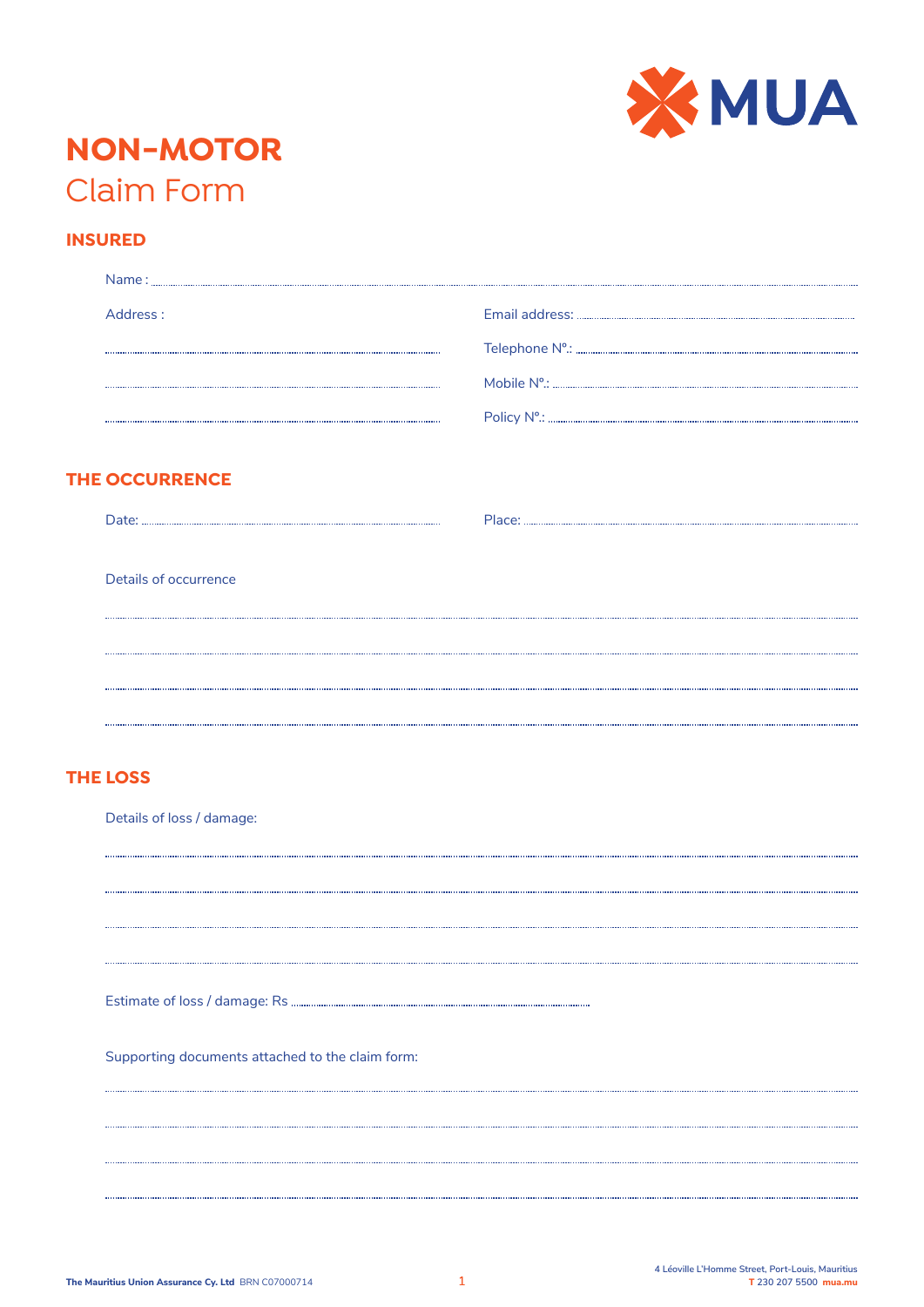

# **NON-MOTOR** Claim Form

# **INSURED**

| Address:              |  |
|-----------------------|--|
|                       |  |
|                       |  |
|                       |  |
|                       |  |
| <b>THE OCCURRENCE</b> |  |
|                       |  |
|                       |  |
|                       |  |
| Details of occurrence |  |
|                       |  |
|                       |  |
|                       |  |

## **THE LOSS**

Details of loss / damage:

Estimate of loss / damage: Rs

Supporting documents attached to the claim form: